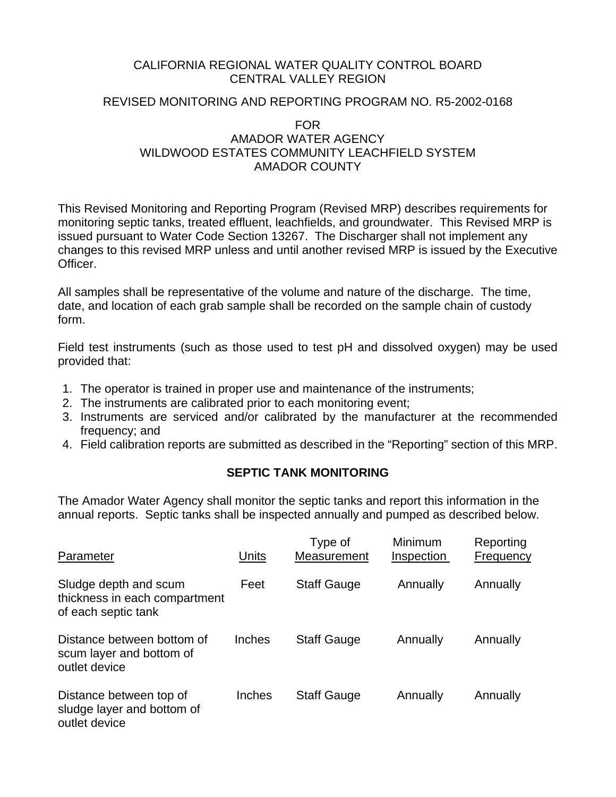### CALIFORNIA REGIONAL WATER QUALITY CONTROL BOARD CENTRAL VALLEY REGION

## REVISED MONITORING AND REPORTING PROGRAM NO. R5-2002-0168

### FOR AMADOR WATER AGENCY WILDWOOD ESTATES COMMUNITY LEACHFIELD SYSTEM AMADOR COUNTY

This Revised Monitoring and Reporting Program (Revised MRP) describes requirements for monitoring septic tanks, treated effluent, leachfields, and groundwater. This Revised MRP is issued pursuant to Water Code Section 13267. The Discharger shall not implement any changes to this revised MRP unless and until another revised MRP is issued by the Executive Officer.

All samples shall be representative of the volume and nature of the discharge. The time, date, and location of each grab sample shall be recorded on the sample chain of custody form.

Field test instruments (such as those used to test pH and dissolved oxygen) may be used provided that:

- 1. The operator is trained in proper use and maintenance of the instruments;
- 2. The instruments are calibrated prior to each monitoring event;
- 3. Instruments are serviced and/or calibrated by the manufacturer at the recommended frequency; and
- 4. Field calibration reports are submitted as described in the "Reporting" section of this MRP.

## **SEPTIC TANK MONITORING**

The Amador Water Agency shall monitor the septic tanks and report this information in the annual reports. Septic tanks shall be inspected annually and pumped as described below.

| Parameter                                                                     | Units  | Type of<br>Measurement | Minimum<br>Inspection | Reporting<br>Frequency |
|-------------------------------------------------------------------------------|--------|------------------------|-----------------------|------------------------|
| Sludge depth and scum<br>thickness in each compartment<br>of each septic tank | Feet   | <b>Staff Gauge</b>     | Annually              | Annually               |
| Distance between bottom of<br>scum layer and bottom of<br>outlet device       | Inches | <b>Staff Gauge</b>     | Annually              | Annually               |
| Distance between top of<br>sludge layer and bottom of<br>outlet device        | Inches | <b>Staff Gauge</b>     | Annually              | Annually               |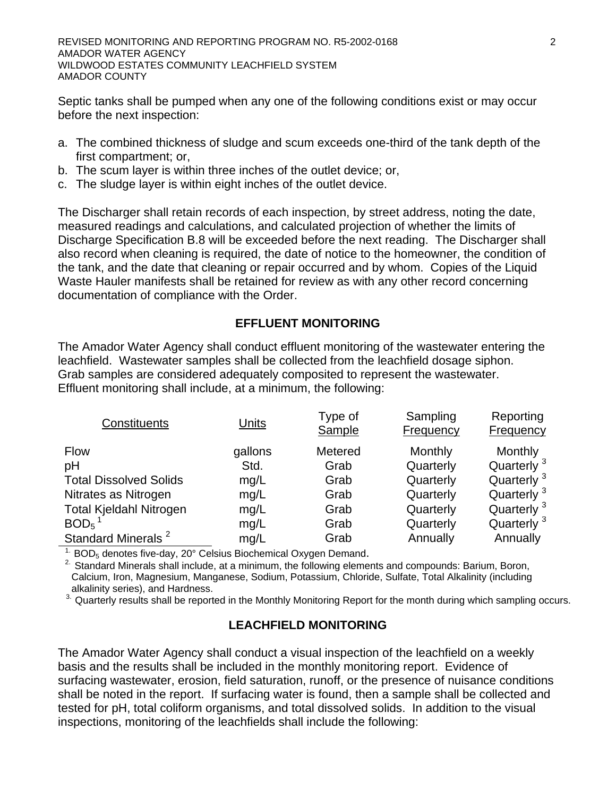Septic tanks shall be pumped when any one of the following conditions exist or may occur before the next inspection:

- a. The combined thickness of sludge and scum exceeds one-third of the tank depth of the first compartment; or,
- b. The scum layer is within three inches of the outlet device; or,
- c. The sludge layer is within eight inches of the outlet device.

The Discharger shall retain records of each inspection, by street address, noting the date, measured readings and calculations, and calculated projection of whether the limits of Discharge Specification B.8 will be exceeded before the next reading. The Discharger shall also record when cleaning is required, the date of notice to the homeowner, the condition of the tank, and the date that cleaning or repair occurred and by whom. Copies of the Liquid Waste Hauler manifests shall be retained for review as with any other record concerning documentation of compliance with the Order.

## **EFFLUENT MONITORING**

The Amador Water Agency shall conduct effluent monitoring of the wastewater entering the leachfield. Wastewater samples shall be collected from the leachfield dosage siphon. Grab samples are considered adequately composited to represent the wastewater. Effluent monitoring shall include, at a minimum, the following:

| Constituents                   | Units   | Type of<br>Sample | Sampling<br>Frequency | Reporting<br>Frequency |
|--------------------------------|---------|-------------------|-----------------------|------------------------|
| <b>Flow</b>                    | gallons | Metered           | Monthly               | Monthly                |
| pH                             | Std.    | Grab              | Quarterly             | Quarterly <sup>3</sup> |
| <b>Total Dissolved Solids</b>  | mg/L    | Grab              | Quarterly             | Quarterly <sup>3</sup> |
| Nitrates as Nitrogen           | mg/L    | Grab              | Quarterly             | Quarterly <sup>3</sup> |
| <b>Total Kjeldahl Nitrogen</b> | mg/L    | Grab              | Quarterly             | Quarterly <sup>3</sup> |
| BOD <sub>5</sub>               | mg/L    | Grab              | Quarterly             | Quarterly <sup>3</sup> |
| Standard Minerals <sup>2</sup> | mg/L    | Grab              | Annually              | Annually               |

<sup>1.</sup> BOD<sub>5</sub> denotes five-day, 20° Celsius Biochemical Oxygen Demand.<br><sup>2.</sup> Standard Minerals shall include, at a minimum, the following elements and compounds: Barium, Boron, Calcium, Iron, Magnesium, Manganese, Sodium, Potassium, Chloride, Sulfate, Total Alkalinity (including alkalinity series), and Hardness.

<sup>3.</sup> Quarterly results shall be reported in the Monthly Monitoring Report for the month during which sampling occurs.

## **LEACHFIELD MONITORING**

The Amador Water Agency shall conduct a visual inspection of the leachfield on a weekly basis and the results shall be included in the monthly monitoring report. Evidence of surfacing wastewater, erosion, field saturation, runoff, or the presence of nuisance conditions shall be noted in the report. If surfacing water is found, then a sample shall be collected and tested for pH, total coliform organisms, and total dissolved solids. In addition to the visual inspections, monitoring of the leachfields shall include the following: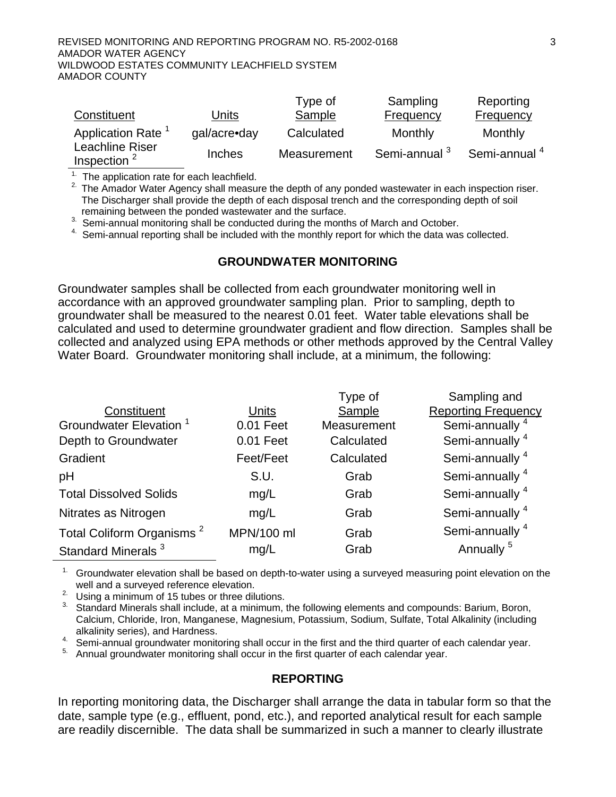|                                   |               | Type of     | Sampling                 | Reporting                |
|-----------------------------------|---------------|-------------|--------------------------|--------------------------|
| Constituent                       | Units         | Sample      | Frequency                | <b>Frequency</b>         |
| Application Rate <sup>1</sup>     | gal/acre•day  | Calculated  | Monthly                  | Monthly                  |
| Leachline Riser<br>Inspection $2$ | <b>Inches</b> | Measurement | Semi-annual <sup>3</sup> | Semi-annual <sup>4</sup> |

 $1$ . The application rate for each leachfield.

<sup>2.</sup> The Amador Water Agency shall measure the depth of any ponded wastewater in each inspection riser. The Discharger shall provide the depth of each disposal trench and the corresponding depth of soil remaining between the ponded wastewater and the surface.

3. Semi-annual monitoring shall be conducted during the months of March and October.

 $4.$  Semi-annual reporting shall be included with the monthly report for which the data was collected.

#### **GROUNDWATER MONITORING**

Groundwater samples shall be collected from each groundwater monitoring well in accordance with an approved groundwater sampling plan. Prior to sampling, depth to groundwater shall be measured to the nearest 0.01 feet. Water table elevations shall be calculated and used to determine groundwater gradient and flow direction. Samples shall be collected and analyzed using EPA methods or other methods approved by the Central Valley Water Board. Groundwater monitoring shall include, at a minimum, the following:

|                                       |            | Type of     | Sampling and               |
|---------------------------------------|------------|-------------|----------------------------|
| Constituent                           | Units      | Sample      | <b>Reporting Frequency</b> |
| Groundwater Elevation <sup>1</sup>    | 0.01 Feet  | Measurement | Semi-annually <sup>4</sup> |
| Depth to Groundwater                  | 0.01 Feet  | Calculated  | Semi-annually <sup>4</sup> |
| Gradient                              | Feet/Feet  | Calculated  | Semi-annually <sup>4</sup> |
| pH                                    | S.U.       | Grab        | Semi-annually <sup>4</sup> |
| <b>Total Dissolved Solids</b>         | mg/L       | Grab        | Semi-annually <sup>4</sup> |
| Nitrates as Nitrogen                  | mq/L       | Grab        | Semi-annually <sup>4</sup> |
| Total Coliform Organisms <sup>2</sup> | MPN/100 ml | Grab        | Semi-annually <sup>4</sup> |
| Standard Minerals <sup>3</sup>        | mg/L       | Grab        | Annually <sup>5</sup>      |

 $1.$  Groundwater elevation shall be based on depth-to-water using a surveyed measuring point elevation on the well and a surveyed reference elevation.

<sup>2.</sup> Using a minimum of 15 tubes or three dilutions.

<sup>3.</sup> Standard Minerals shall include, at a minimum, the following elements and compounds: Barium, Boron, Calcium, Chloride, Iron, Manganese, Magnesium, Potassium, Sodium, Sulfate, Total Alkalinity (including alkalinity series), and Hardness.

4. Semi-annual groundwater monitoring shall occur in the first and the third quarter of each calendar year.

<sup>5.</sup> Annual groundwater monitoring shall occur in the first quarter of each calendar year.

#### **REPORTING**

In reporting monitoring data, the Discharger shall arrange the data in tabular form so that the date, sample type (e.g., effluent, pond, etc.), and reported analytical result for each sample are readily discernible. The data shall be summarized in such a manner to clearly illustrate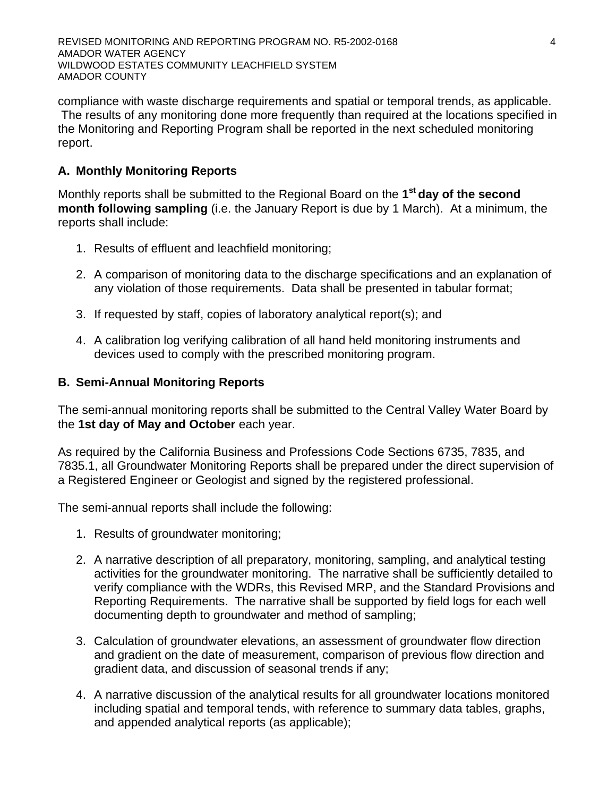compliance with waste discharge requirements and spatial or temporal trends, as applicable. The results of any monitoring done more frequently than required at the locations specified in the Monitoring and Reporting Program shall be reported in the next scheduled monitoring report.

# **A. Monthly Monitoring Reports**

Monthly reports shall be submitted to the Regional Board on the **1st day of the second month following sampling** (i.e. the January Report is due by 1 March). At a minimum, the reports shall include:

- 1. Results of effluent and leachfield monitoring;
- 2. A comparison of monitoring data to the discharge specifications and an explanation of any violation of those requirements. Data shall be presented in tabular format;
- 3. If requested by staff, copies of laboratory analytical report(s); and
- 4. A calibration log verifying calibration of all hand held monitoring instruments and devices used to comply with the prescribed monitoring program.

## **B. Semi-Annual Monitoring Reports**

The semi-annual monitoring reports shall be submitted to the Central Valley Water Board by the **1st day of May and October** each year.

As required by the California Business and Professions Code Sections 6735, 7835, and 7835.1, all Groundwater Monitoring Reports shall be prepared under the direct supervision of a Registered Engineer or Geologist and signed by the registered professional.

The semi-annual reports shall include the following:

- 1. Results of groundwater monitoring;
- 2. A narrative description of all preparatory, monitoring, sampling, and analytical testing activities for the groundwater monitoring. The narrative shall be sufficiently detailed to verify compliance with the WDRs, this Revised MRP, and the Standard Provisions and Reporting Requirements. The narrative shall be supported by field logs for each well documenting depth to groundwater and method of sampling;
- 3. Calculation of groundwater elevations, an assessment of groundwater flow direction and gradient on the date of measurement, comparison of previous flow direction and gradient data, and discussion of seasonal trends if any;
- 4. A narrative discussion of the analytical results for all groundwater locations monitored including spatial and temporal tends, with reference to summary data tables, graphs, and appended analytical reports (as applicable);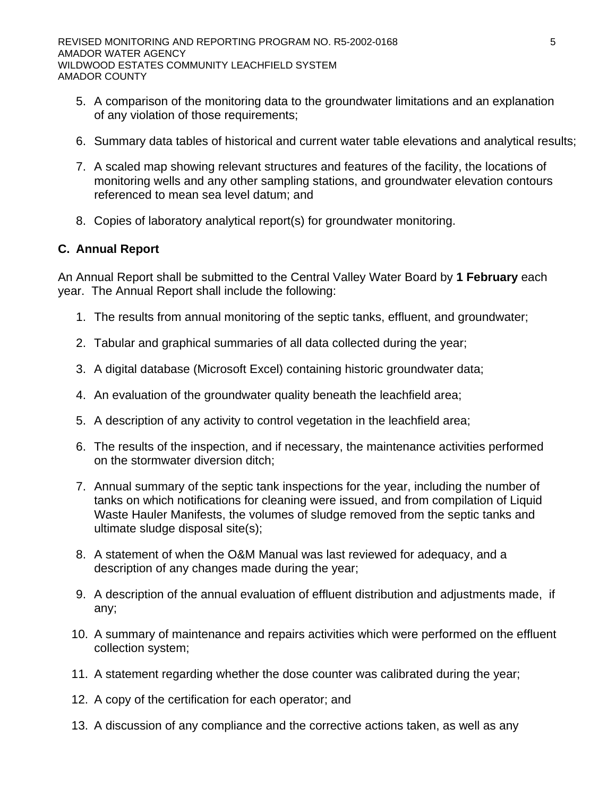- 5. A comparison of the monitoring data to the groundwater limitations and an explanation of any violation of those requirements;
- 6. Summary data tables of historical and current water table elevations and analytical results;
- 7. A scaled map showing relevant structures and features of the facility, the locations of monitoring wells and any other sampling stations, and groundwater elevation contours referenced to mean sea level datum; and
- 8. Copies of laboratory analytical report(s) for groundwater monitoring.

## **C. Annual Report**

An Annual Report shall be submitted to the Central Valley Water Board by **1 February** each year. The Annual Report shall include the following:

- 1. The results from annual monitoring of the septic tanks, effluent, and groundwater;
- 2. Tabular and graphical summaries of all data collected during the year;
- 3. A digital database (Microsoft Excel) containing historic groundwater data;
- 4. An evaluation of the groundwater quality beneath the leachfield area;
- 5. A description of any activity to control vegetation in the leachfield area;
- 6. The results of the inspection, and if necessary, the maintenance activities performed on the stormwater diversion ditch;
- 7. Annual summary of the septic tank inspections for the year, including the number of tanks on which notifications for cleaning were issued, and from compilation of Liquid Waste Hauler Manifests, the volumes of sludge removed from the septic tanks and ultimate sludge disposal site(s);
- 8. A statement of when the O&M Manual was last reviewed for adequacy, and a description of any changes made during the year;
- 9. A description of the annual evaluation of effluent distribution and adjustments made, if any;
- 10. A summary of maintenance and repairs activities which were performed on the effluent collection system;
- 11. A statement regarding whether the dose counter was calibrated during the year;
- 12. A copy of the certification for each operator; and
- 13. A discussion of any compliance and the corrective actions taken, as well as any